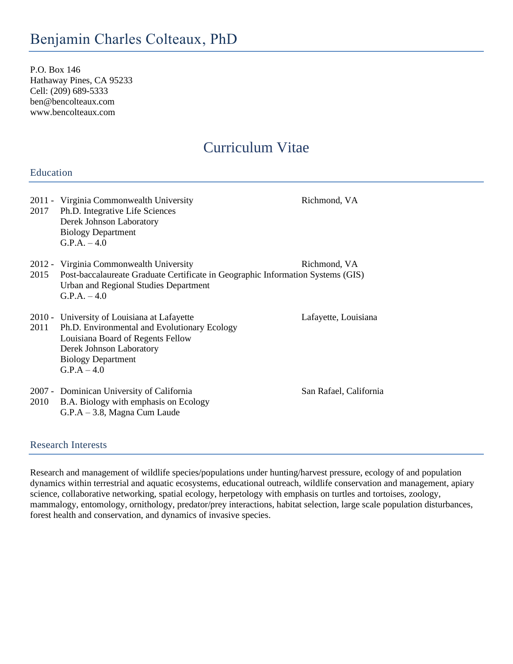P.O. Box 146 Hathaway Pines, CA 95233 Cell: (209) 689-5333 ben@bencolteaux.com www.bencolteaux.com

# Curriculum Vitae

## Education

| 2017 | 2011 - Virginia Commonwealth University<br>Ph.D. Integrative Life Sciences<br>Derek Johnson Laboratory<br><b>Biology Department</b><br>$G.P.A. - 4.0$                                                           | Richmond, VA           |  |
|------|-----------------------------------------------------------------------------------------------------------------------------------------------------------------------------------------------------------------|------------------------|--|
| 2015 | 2012 - Virginia Commonwealth University<br>Richmond, VA<br>Post-baccalaureate Graduate Certificate in Geographic Information Systems (GIS)<br>Urban and Regional Studies Department<br>$G.P.A. -4.0$            |                        |  |
|      | 2010 - University of Louisiana at Lafayette<br>2011 Ph.D. Environmental and Evolutionary Ecology<br>Louisiana Board of Regents Fellow<br>Derek Johnson Laboratory<br><b>Biology Department</b><br>$G.P.A - 4.0$ | Lafayette, Louisiana   |  |
| 2010 | 2007 - Dominican University of California<br>B.A. Biology with emphasis on Ecology<br>$G.P.A - 3.8$ , Magna Cum Laude                                                                                           | San Rafael, California |  |

## Research Interests

Research and management of wildlife species/populations under hunting/harvest pressure, ecology of and population dynamics within terrestrial and aquatic ecosystems, educational outreach, wildlife conservation and management, apiary science, collaborative networking, spatial ecology, herpetology with emphasis on turtles and tortoises, zoology, mammalogy, entomology, ornithology, predator/prey interactions, habitat selection, large scale population disturbances, forest health and conservation, and dynamics of invasive species.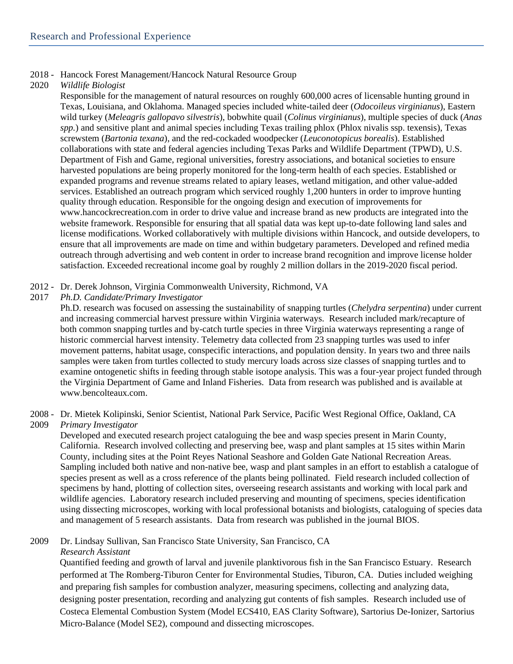#### 2018 - Hancock Forest Management/Hancock Natural Resource Group

#### 2020 *Wildlife Biologist*

Responsible for the management of natural resources on roughly 600,000 acres of licensable hunting ground in Texas, Louisiana, and Oklahoma. Managed species included white-tailed deer (*Odocoileus virginianus*), Eastern wild turkey (*Meleagris gallopavo silvestris*), bobwhite quail (*Colinus virginianus*), multiple species of duck (*Anas spp.*) and sensitive plant and animal species including Texas trailing phlox (Phlox nivalis ssp. texensis), Texas screwstem (*Bartonia texana*), and the red-cockaded woodpecker (*Leuconotopicus borealis*). Established collaborations with state and federal agencies including Texas Parks and Wildlife Department (TPWD), U.S. Department of Fish and Game, regional universities, forestry associations, and botanical societies to ensure harvested populations are being properly monitored for the long-term health of each species. Established or expanded programs and revenue streams related to apiary leases, wetland mitigation, and other value-added services. Established an outreach program which serviced roughly 1,200 hunters in order to improve hunting quality through education. Responsible for the ongoing design and execution of improvements for www.hancockrecreation.com in order to drive value and increase brand as new products are integrated into the website framework. Responsible for ensuring that all spatial data was kept up-to-date following land sales and license modifications. Worked collaboratively with multiple divisions within Hancock, and outside developers, to ensure that all improvements are made on time and within budgetary parameters. Developed and refined media outreach through advertising and web content in order to increase brand recognition and improve license holder satisfaction. Exceeded recreational income goal by roughly 2 million dollars in the 2019-2020 fiscal period.

- 2012 Dr. Derek Johnson, Virginia Commonwealth University, Richmond, VA
- 2017 *Ph.D. Candidate/Primary Investigator*

Ph.D. research was focused on assessing the sustainability of snapping turtles (*Chelydra serpentina*) under current and increasing commercial harvest pressure within Virginia waterways. Research included mark/recapture of both common snapping turtles and by-catch turtle species in three Virginia waterways representing a range of historic commercial harvest intensity. Telemetry data collected from 23 snapping turtles was used to infer movement patterns, habitat usage, conspecific interactions, and population density. In years two and three nails samples were taken from turtles collected to study mercury loads across size classes of snapping turtles and to examine ontogenetic shifts in feeding through stable isotope analysis. This was a four-year project funded through the Virginia Department of Game and Inland Fisheries. Data from research was published and is available at www.bencolteaux.com.

2008 - Dr. Mietek Kolipinski, Senior Scientist, National Park Service, Pacific West Regional Office, Oakland, CA 2009 *Primary Investigator*

Developed and executed research project cataloguing the bee and wasp species present in Marin County, California. Research involved collecting and preserving bee, wasp and plant samples at 15 sites within Marin County, including sites at the Point Reyes National Seashore and Golden Gate National Recreation Areas. Sampling included both native and non-native bee, wasp and plant samples in an effort to establish a catalogue of species present as well as a cross reference of the plants being pollinated. Field research included collection of specimens by hand, plotting of collection sites, overseeing research assistants and working with local park and wildlife agencies. Laboratory research included preserving and mounting of specimens, species identification using dissecting microscopes, working with local professional botanists and biologists, cataloguing of species data and management of 5 research assistants. Data from research was published in the journal BIOS.

2009 Dr. Lindsay Sullivan, San Francisco State University, San Francisco, CA

*Research Assistant*

Quantified feeding and growth of larval and juvenile planktivorous fish in the San Francisco Estuary. Research performed at The Romberg-Tiburon Center for Environmental Studies, Tiburon, CA. Duties included weighing and preparing fish samples for combustion analyzer, measuring specimens, collecting and analyzing data, designing poster presentation, recording and analyzing gut contents of fish samples. Research included use of Costeca Elemental Combustion System (Model ECS410, EAS Clarity Software), Sartorius De-Ionizer, Sartorius Micro-Balance (Model SE2), compound and dissecting microscopes.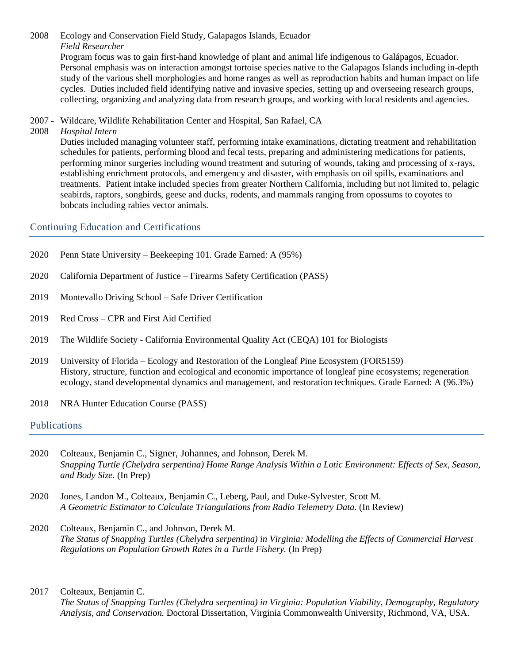2008 Ecology and Conservation Field Study, Galapagos Islands, Ecuador *Field Researcher* Program focus was to gain first-hand knowledge of plant and animal life indigenous to Galápagos, Ecuador. Personal emphasis was on interaction amongst tortoise species native to the Galapagos Islands including in-depth study of the various shell morphologies and home ranges as well as reproduction habits and human impact on life cycles. Duties included field identifying native and invasive species, setting up and overseeing research groups, collecting, organizing and analyzing data from research groups, and working with local residents and agencies.

2007 - Wildcare, Wildlife Rehabilitation Center and Hospital, San Rafael, CA

#### 2008 *Hospital Intern*

Duties included managing volunteer staff, performing intake examinations, dictating treatment and rehabilitation schedules for patients, performing blood and fecal tests, preparing and administering medications for patients, performing minor surgeries including wound treatment and suturing of wounds, taking and processing of x-rays, establishing enrichment protocols, and emergency and disaster, with emphasis on oil spills, examinations and treatments. Patient intake included species from greater Northern California, including but not limited to, pelagic seabirds, raptors, songbirds, geese and ducks, rodents, and mammals ranging from opossums to coyotes to bobcats including rabies vector animals.

#### Continuing Education and Certifications

| 2020 | Penn State University – Beekeeping 101. Grade Earned: A (95%) |  |
|------|---------------------------------------------------------------|--|
|      |                                                               |  |

- 2020 California Department of Justice Firearms Safety Certification (PASS)
- 2019 Montevallo Driving School Safe Driver Certification
- 2019 Red Cross CPR and First Aid Certified
- 2019 The Wildlife Society California Environmental Quality Act (CEQA) 101 for Biologists
- 2019 University of Florida Ecology and Restoration of the Longleaf Pine Ecosystem (FOR5159) History, structure, function and ecological and economic importance of longleaf pine ecosystems; regeneration ecology, stand developmental dynamics and management, and restoration techniques. Grade Earned: A (96.3%)
- 2018 NRA Hunter Education Course (PASS)

#### Publications

- 2020 Colteaux, Benjamin C., Signer, Johannes, and Johnson, Derek M. *Snapping Turtle (Chelydra serpentina) Home Range Analysis Within a Lotic Environment: Effects of Sex, Season, and Body Size*. (In Prep)
- 2020 Jones, Landon M., Colteaux, Benjamin C., Leberg, Paul, and Duke-Sylvester, Scott M. *A Geometric Estimator to Calculate Triangulations from Radio Telemetry Data.* (In Review)
- 2020 Colteaux, Benjamin C., and Johnson, Derek M. *The Status of Snapping Turtles (Chelydra serpentina) in Virginia: Modelling the Effects of Commercial Harvest Regulations on Population Growth Rates in a Turtle Fishery.* (In Prep)

#### 2017 Colteaux, Benjamin C.

*The Status of Snapping Turtles (Chelydra serpentina) in Virginia: Population Viability, Demography, Regulatory Analysis, and Conservation.* Doctoral Dissertation, Virginia Commonwealth University, Richmond, VA, USA.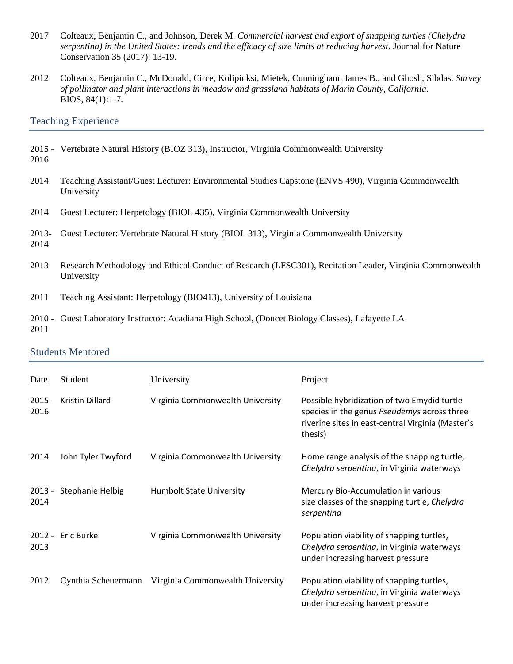- 2017 Colteaux, Benjamin C., and Johnson, Derek M. *Commercial harvest and export of snapping turtles (Chelydra serpentina) in the United States: trends and the efficacy of size limits at reducing harvest*. Journal for Nature Conservation 35 (2017): 13-19.
- 2012 Colteaux, Benjamin C., McDonald, Circe, Kolipinksi, Mietek, Cunningham, James B., and Ghosh, Sibdas. *Survey of pollinator and plant interactions in meadow and grassland habitats of Marin County, California.* BIOS, 84(1):1-7.

## Teaching Experience

- 2015 Vertebrate Natural History (BIOZ 313), Instructor, Virginia Commonwealth University 2016
- 2014 Teaching Assistant/Guest Lecturer: Environmental Studies Capstone (ENVS 490), Virginia Commonwealth University
- 2014 Guest Lecturer: Herpetology (BIOL 435), Virginia Commonwealth University
- 2013- Guest Lecturer: Vertebrate Natural History (BIOL 313), Virginia Commonwealth University 2014
- 2013 Research Methodology and Ethical Conduct of Research (LFSC301), Recitation Leader, Virginia Commonwealth University
- 2011 Teaching Assistant: Herpetology (BIO413), University of Louisiana
- 2010 Guest Laboratory Instructor: Acadiana High School, (Doucet Biology Classes), Lafayette LA 2011

#### Students Mentored

| Date             | Student             | University                       | Project                                                                                                                                                    |
|------------------|---------------------|----------------------------------|------------------------------------------------------------------------------------------------------------------------------------------------------------|
| 2015-<br>2016    | Kristin Dillard     | Virginia Commonwealth University | Possible hybridization of two Emydid turtle<br>species in the genus Pseudemys across three<br>riverine sites in east-central Virginia (Master's<br>thesis) |
| 2014             | John Tyler Twyford  | Virginia Commonwealth University | Home range analysis of the snapping turtle,<br>Chelydra serpentina, in Virginia waterways                                                                  |
| $2013 -$<br>2014 | Stephanie Helbig    | <b>Humbolt State University</b>  | Mercury Bio-Accumulation in various<br>size classes of the snapping turtle, Chelydra<br>serpentina                                                         |
| $2012 -$<br>2013 | <b>Eric Burke</b>   | Virginia Commonwealth University | Population viability of snapping turtles,<br>Chelydra serpentina, in Virginia waterways<br>under increasing harvest pressure                               |
| 2012             | Cynthia Scheuermann | Virginia Commonwealth University | Population viability of snapping turtles,<br>Chelydra serpentina, in Virginia waterways<br>under increasing harvest pressure                               |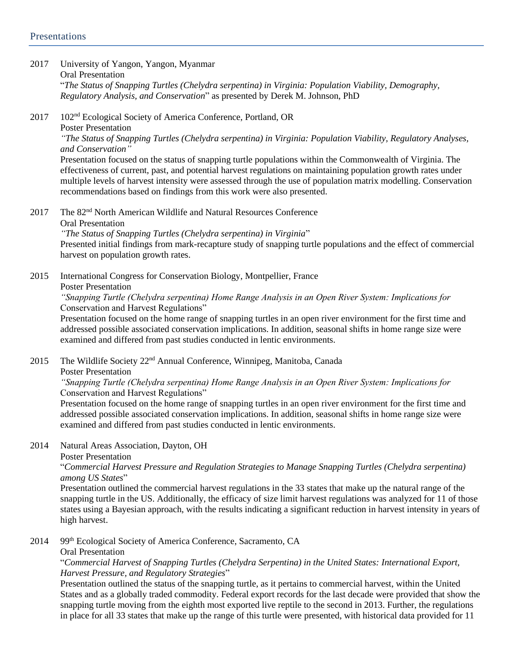#### 2017 University of Yangon, Yangon, Myanmar Oral Presentation "*The Status of Snapping Turtles (Chelydra serpentina) in Virginia: Population Viability, Demography, Regulatory Analysis, and Conservation*" as presented by Derek M. Johnson, PhD

2017 102nd Ecological Society of America Conference, Portland, OR Poster Presentation

*"The Status of Snapping Turtles (Chelydra serpentina) in Virginia: Population Viability, Regulatory Analyses, and Conservation"*

Presentation focused on the status of snapping turtle populations within the Commonwealth of Virginia. The effectiveness of current, past, and potential harvest regulations on maintaining population growth rates under multiple levels of harvest intensity were assessed through the use of population matrix modelling. Conservation recommendations based on findings from this work were also presented.

2017 The 82<sup>nd</sup> North American Wildlife and Natural Resources Conference Oral Presentation

*"The Status of Snapping Turtles (Chelydra serpentina) in Virginia*" Presented initial findings from mark-recapture study of snapping turtle populations and the effect of commercial harvest on population growth rates.

2015 International Congress for Conservation Biology, Montpellier, France Poster Presentation *"Snapping Turtle (Chelydra serpentina) Home Range Analysis in an Open River System: Implications for* 

Conservation and Harvest Regulations"

Presentation focused on the home range of snapping turtles in an open river environment for the first time and addressed possible associated conservation implications. In addition, seasonal shifts in home range size were examined and differed from past studies conducted in lentic environments.

2015 The Wildlife Society 22nd Annual Conference, Winnipeg, Manitoba, Canada

Poster Presentation

## *"Snapping Turtle (Chelydra serpentina) Home Range Analysis in an Open River System: Implications for*  Conservation and Harvest Regulations"

Presentation focused on the home range of snapping turtles in an open river environment for the first time and addressed possible associated conservation implications. In addition, seasonal shifts in home range size were examined and differed from past studies conducted in lentic environments.

2014 Natural Areas Association, Dayton, OH

Poster Presentation

## "*Commercial Harvest Pressure and Regulation Strategies to Manage Snapping Turtles (Chelydra serpentina) among US States*"

Presentation outlined the commercial harvest regulations in the 33 states that make up the natural range of the snapping turtle in the US. Additionally, the efficacy of size limit harvest regulations was analyzed for 11 of those states using a Bayesian approach, with the results indicating a significant reduction in harvest intensity in years of high harvest.

2014 99<sup>th</sup> Ecological Society of America Conference, Sacramento, CA

Oral Presentation

"*Commercial Harvest of Snapping Turtles (Chelydra Serpentina) in the United States: International Export, Harvest Pressure, and Regulatory Strategies*"

Presentation outlined the status of the snapping turtle, as it pertains to commercial harvest, within the United States and as a globally traded commodity. Federal export records for the last decade were provided that show the snapping turtle moving from the eighth most exported live reptile to the second in 2013. Further, the regulations in place for all 33 states that make up the range of this turtle were presented, with historical data provided for 11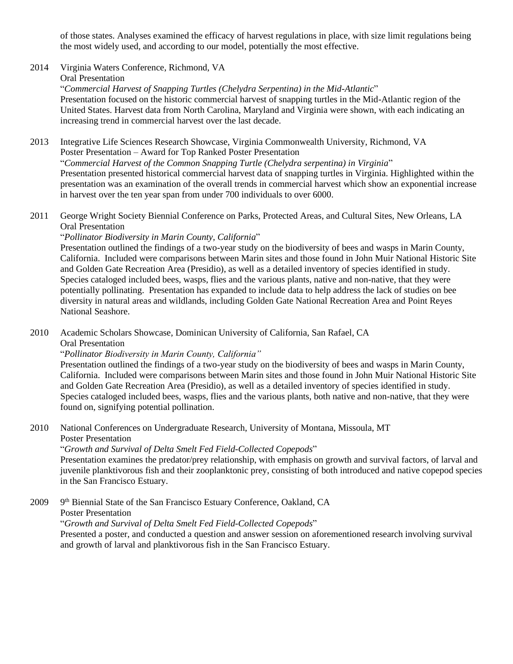of those states. Analyses examined the efficacy of harvest regulations in place, with size limit regulations being the most widely used, and according to our model, potentially the most effective.

2014 Virginia Waters Conference, Richmond, VA

Oral Presentation

"*Commercial Harvest of Snapping Turtles (Chelydra Serpentina) in the Mid-Atlantic*"

Presentation focused on the historic commercial harvest of snapping turtles in the Mid-Atlantic region of the United States. Harvest data from North Carolina, Maryland and Virginia were shown, with each indicating an increasing trend in commercial harvest over the last decade.

2013 Integrative Life Sciences Research Showcase, Virginia Commonwealth University, Richmond, VA Poster Presentation – Award for Top Ranked Poster Presentation "*Commercial Harvest of the Common Snapping Turtle (Chelydra serpentina) in Virginia*" Presentation presented historical commercial harvest data of snapping turtles in Virginia. Highlighted within the presentation was an examination of the overall trends in commercial harvest which show an exponential increase in harvest over the ten year span from under 700 individuals to over 6000.

2011 George Wright Society Biennial Conference on Parks, Protected Areas, and Cultural Sites, New Orleans, LA Oral Presentation

"*Pollinator Biodiversity in Marin County, California*"

Presentation outlined the findings of a two-year study on the biodiversity of bees and wasps in Marin County, California. Included were comparisons between Marin sites and those found in John Muir National Historic Site and Golden Gate Recreation Area (Presidio), as well as a detailed inventory of species identified in study. Species cataloged included bees, wasps, flies and the various plants, native and non-native, that they were potentially pollinating. Presentation has expanded to include data to help address the lack of studies on bee diversity in natural areas and wildlands, including Golden Gate National Recreation Area and Point Reyes National Seashore.

2010 Academic Scholars Showcase, Dominican University of California, San Rafael, CA Oral Presentation

"*Pollinator Biodiversity in Marin County, California"*

Presentation outlined the findings of a two-year study on the biodiversity of bees and wasps in Marin County, California. Included were comparisons between Marin sites and those found in John Muir National Historic Site and Golden Gate Recreation Area (Presidio), as well as a detailed inventory of species identified in study. Species cataloged included bees, wasps, flies and the various plants, both native and non-native, that they were found on, signifying potential pollination.

2010 National Conferences on Undergraduate Research, University of Montana, Missoula, MT Poster Presentation

"*Growth and Survival of Delta Smelt Fed Field-Collected Copepods*"

Presentation examines the predator/prey relationship, with emphasis on growth and survival factors, of larval and juvenile planktivorous fish and their zooplanktonic prey, consisting of both introduced and native copepod species in the San Francisco Estuary.

2009 9<sup>th</sup> Biennial State of the San Francisco Estuary Conference, Oakland, CA Poster Presentation "*Growth and Survival of Delta Smelt Fed Field-Collected Copepods*" Presented a poster, and conducted a question and answer session on aforementioned research involving survival and growth of larval and planktivorous fish in the San Francisco Estuary.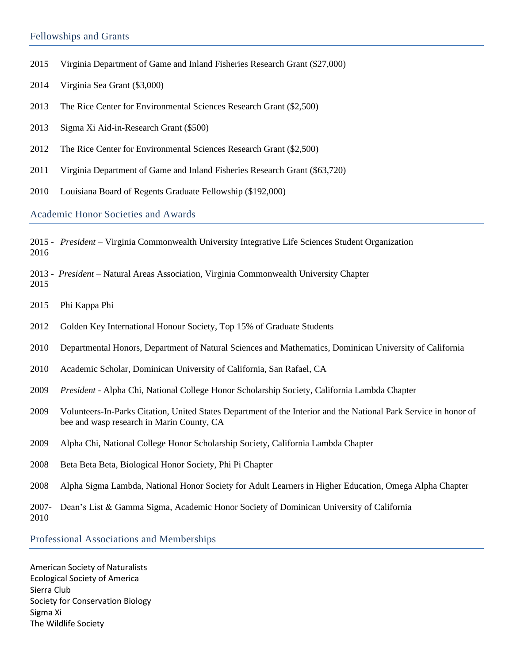## Fellowships and Grants

- 2015 Virginia Department of Game and Inland Fisheries Research Grant (\$27,000)
- 2014 Virginia Sea Grant (\$3,000)
- 2013 The Rice Center for Environmental Sciences Research Grant (\$2,500)
- 2013 Sigma Xi Aid-in-Research Grant (\$500)
- 2012 The Rice Center for Environmental Sciences Research Grant (\$2,500)
- 2011 Virginia Department of Game and Inland Fisheries Research Grant (\$63,720)
- 2010 Louisiana Board of Regents Graduate Fellowship (\$192,000)

Academic Honor Societies and Awards

2015 - *President* – Virginia Commonwealth University Integrative Life Sciences Student Organization 2016

2013 - *President* – Natural Areas Association, Virginia Commonwealth University Chapter 2015

- 2015 Phi Kappa Phi
- 2012 Golden Key International Honour Society, Top 15% of Graduate Students
- 2010 Departmental Honors, Department of Natural Sciences and Mathematics, Dominican University of California
- 2010 Academic Scholar, Dominican University of California, San Rafael, CA
- 2009 *President* Alpha Chi, National College Honor Scholarship Society, California Lambda Chapter
- 2009 Volunteers-In-Parks Citation, United States Department of the Interior and the National Park Service in honor of bee and wasp research in Marin County, CA
- 2009 Alpha Chi, National College Honor Scholarship Society, California Lambda Chapter
- 2008 Beta Beta Beta, Biological Honor Society, Phi Pi Chapter
- 2008 Alpha Sigma Lambda, National Honor Society for Adult Learners in Higher Education, Omega Alpha Chapter

2007- Dean's List & Gamma Sigma, Academic Honor Society of Dominican University of California 2010

Professional Associations and Memberships

American Society of Naturalists Ecological Society of America Sierra Club Society for Conservation Biology Sigma Xi The Wildlife Society